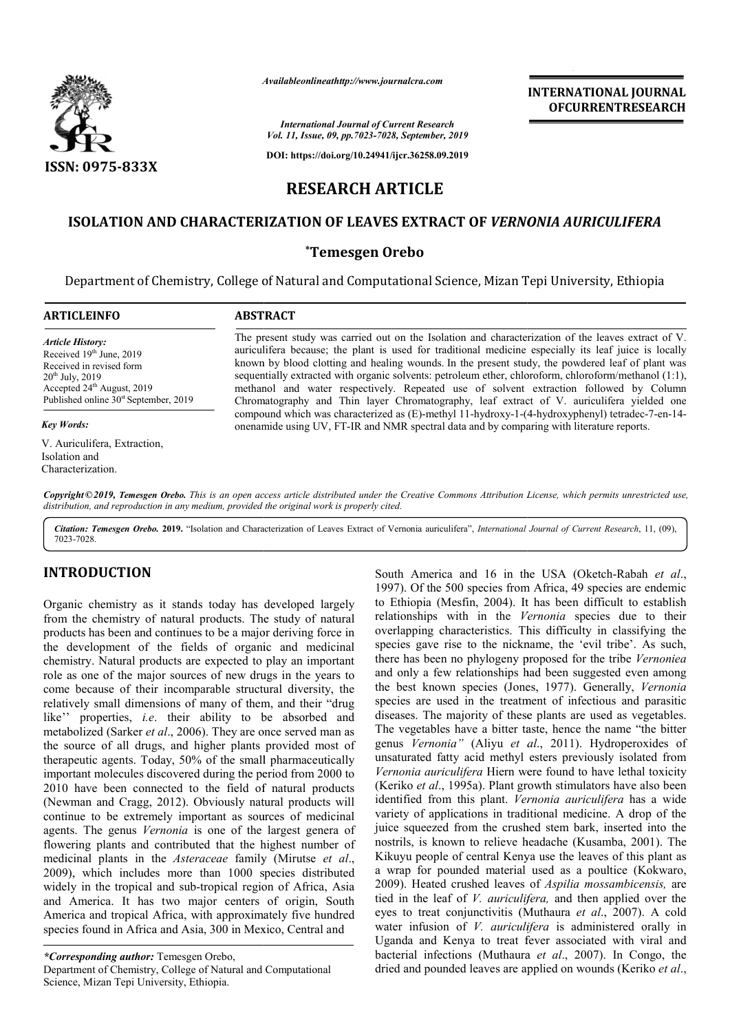

*Availableonlineathttp://www.journal Availableonlineathttp://www.journalcra.com*

## **INTERNATIONAL JOURNAL OFCURRENTRESEARCH**

*International Journal of Current Research Vol. 11, Issue, 09, pp.7023-7028, September, 2019*

**DOI: https://doi.org/10.24941/ijcr.36258.09.2019**

# **RESEARCH ARTICLE**

### **ISOLATION AND CHARACTERIZATION OF LEAVES EXTRACT OF**  *VERNONIA AURICULIFERA*

### **\*Temesgen Orebo**

Department of Chemistry, College of Natural and Computational Science, Mizan Tepi University, Ethiopia

| <b>ARTICLEINFO</b>                                                                                                                                                                             | <b>ABSTRACT</b>                                                                                                                                                                                                                                                                                                                                                                                                                                                                                                                                                                                                  |
|------------------------------------------------------------------------------------------------------------------------------------------------------------------------------------------------|------------------------------------------------------------------------------------------------------------------------------------------------------------------------------------------------------------------------------------------------------------------------------------------------------------------------------------------------------------------------------------------------------------------------------------------------------------------------------------------------------------------------------------------------------------------------------------------------------------------|
| <b>Article History:</b><br>Received $19th$ June, 2019<br>Received in revised form<br>$20^{th}$ July, 2019<br>Accepted $24th$ August, 2019<br>Published online 30 <sup>st</sup> September, 2019 | The present study was carried out on the Isolation and characterization of the leaves extract of V.<br>auriculifera because; the plant is used for traditional medicine especially its leaf juice is locally<br>known by blood clotting and healing wounds. In the present study, the powdered leaf of plant was<br>sequentially extracted with organic solvents: petroleum ether, chloroform, chloroform/methanol (1:1),<br>methanol and water respectively. Repeated use of solvent extraction followed by Column<br>Chromatography and Thin layer Chromatography, leaf extract of V. auriculifera yielded one |
| <b>Key Words:</b>                                                                                                                                                                              | compound which was characterized as (E)-methyl 11-hydroxy-1-(4-hydroxyphenyl) tetradec-7-en-14-<br>onenamide using UV, FT-IR and NMR spectral data and by comparing with literature reports.                                                                                                                                                                                                                                                                                                                                                                                                                     |
| V. Auriculifera, Extraction,<br>Isolation and<br>Characterization.                                                                                                                             |                                                                                                                                                                                                                                                                                                                                                                                                                                                                                                                                                                                                                  |

Copyright © 2019, Temesgen Orebo. This is an open access article distributed under the Creative Commons Attribution License, which permits unrestricted use, *distribution, and reproduction in any medium, provided the original work is properly cited.*

Citation: Temesgen Orebo. 2019. "Isolation and Characterization of Leaves Extract of Vernonia auriculifera", International Journal of Current Research, 11, (09), 7023-7028.

### **INTRODUCTION**

Organic chemistry as it stands today has developed largely from the chemistry of natural products. The study of natural products has been and continues to be a major deriving force in the development of the fields of organic and medicinal chemistry. Natural products are expected to play an important role as one of the major sources of new drugs in the years to come because of their incomparable structural diversity, t relatively small dimensions of many of them, and their "drug like'' properties, *i.e*. their ability to be absorbed and metabolized (Sarker *et al*., 2006). They are once served man as the source of all drugs, and higher plants provided most of therapeutic agents. Today, 50% of the small pharmaceutically important molecules discovered during the period from 2000 to 2010 have been connected to the field of natural products (Newman and Cragg, 2012). Obviously natural products will continue to be extremely important as sources of medicinal agents. The genus *Vernonia* is one of the largest genera of flowering plants and contributed that the highest number of medicinal plants in the *Asteraceae* family (Mirutse *et al*., 2009), which includes more than 1000 species distributed widely in the tropical and sub-tropical region of Africa, Asia and America. It has two major centers of origin, South America and tropical Africa, with approximately five hundred species found in Africa and Asia, 300 in Mexico, Central and mistry. Natural products are expected to play an important<br>e as one of the major sources of new drugs in the years to<br>ne because of their incomparable structural diversity, the the field<br>bviously if<br>tant as s

South America and 16 in the USA (Oketch<br>
1997). Of the 500 species from Africa, 49 specie<br>
tropical is the 500 species from Africa, 49 specie<br>
tropical is the south of natural<br>
relationships with in the Vernonia species<br> 1997). Of the 500 species from Africa, 49 species are endemic 1997). Of the 500 species from Africa, 49 species are endemic to Ethiopia (Mesfin, 2004). It has been difficult to establish relationships with in the Vernonia species due to their overlapping characteristics. This difficulty in classifying the species gave rise to the nickname, the 'evil tribe'. As such, overlapping characteristics. This difficulty in classifying the species gave rise to the nickname, the 'evil tribe'. As such, there has been no phylogeny proposed for the tribe *Vernoniea* and only a few relationships had been suggested even among and only a few relationships had been suggested even among the best known species *(Jones, 1977)*. Generally, *Vernonia* species are used in the treatment of infectious and parasitic diseases. The majority of these plants are used as vegetables. The vegetables have a bitter taste, hence the name "the bitter diseases. The majority of these plants are used as vegetables.<br>The vegetables have a bitter taste, hence the name "the bitter<br>genus *Vernonia"* (Aliyu *et al.*, 2011). Hydroperoxides of unsaturated fatty acid methyl esters previously isolated from *Vernonia auriculifera* Hiern were found to have lethal toxicity (Keriko *et al*., 1995a). Plant growth stimulators have also been identified from this plant. *Vernonia auriculifera*  variety of applications in traditional medicine. A drop of the juice squeezed from the crushed stem bark, inserted into the nostrils, is known to relieve headache (Kusamba, 2001). The Kikuyu people of central Kenya use the leaves of this plant as juice squeezed from the crushed stem bark, inserted into the nostrils, is known to relieve headache (Kusamba, 2001). The Kikuyu people of central Kenya use the leaves of this plant as a wrap for pounded material used as a 2009). Heated crushed leaves of 2009). *Aspilia mossambicensis,* are tied in the leaf of *V. auriculifera,*  and then applied over the eyes to treat conjunctivitis (Muthaura et al., 2007). A cold water infusion of *V. auriculifera* is administered orally in Uganda and Kenya to treat fever associated with viral and bacterial infections (Muthaura *et al*., 2007). In Congo, the dried and pounded leaves are applied on wounds (Keriko et al., South America and 16 in the USA (Oketch-Rabah *et al.*, culifera Hiern were found to have lethal toxicity<br>1995a). Plant growth stimulators have also been<br>a this plant. Vernonia auriculifera has a wide

*<sup>\*</sup>Corresponding author:* Temesgen Orebo, Department of Chemistry, College of Natural and Computational Science, Mizan Tepi University, Ethiopia.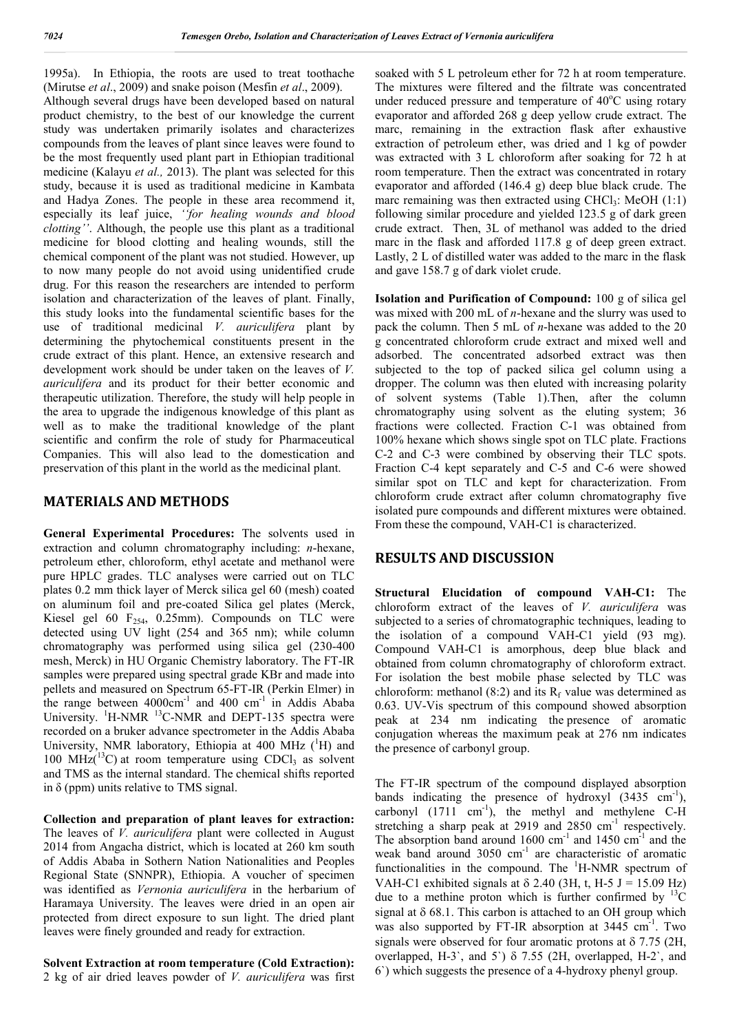1995a). In Ethiopia, the roots are used to treat toothache (Mirutse *et al*., 2009) and snake poison (Mesfin *et al*., 2009). Although several drugs have been developed based on natural product chemistry, to the best of our knowledge the current study was undertaken primarily isolates and characterizes compounds from the leaves of plant since leaves were found to be the most frequently used plant part in Ethiopian traditional medicine (Kalayu *et al.,* 2013). The plant was selected for this study, because it is used as traditional medicine in Kambata and Hadya Zones. The people in these area recommend it, especially its leaf juice, *''for healing wounds and blood clotting''*. Although, the people use this plant as a traditional medicine for blood clotting and healing wounds, still the chemical component of the plant was not studied. However, up to now many people do not avoid using unidentified crude drug. For this reason the researchers are intended to perform isolation and characterization of the leaves of plant. Finally, this study looks into the fundamental scientific bases for the use of traditional medicinal *V. auriculifera* plant by determining the phytochemical constituents present in the crude extract of this plant. Hence, an extensive research and development work should be under taken on the leaves of *V. auriculifera* and its product for their better economic and therapeutic utilization. Therefore, the study will help people in the area to upgrade the indigenous knowledge of this plant as well as to make the traditional knowledge of the plant scientific and confirm the role of study for Pharmaceutical Companies. This will also lead to the domestication and preservation of this plant in the world as the medicinal plant.

### **MATERIALS AND METHODS**

**General Experimental Procedures:** The solvents used in extraction and column chromatography including: *n*-hexane, petroleum ether, chloroform, ethyl acetate and methanol were pure HPLC grades. TLC analyses were carried out on TLC plates 0.2 mm thick layer of Merck silica gel 60 (mesh) coated on aluminum foil and pre-coated Silica gel plates (Merck, Kiesel gel 60  $F_{254}$ , 0.25mm). Compounds on TLC were detected using UV light (254 and 365 nm); while column chromatography was performed using silica gel (230-400 mesh, Merck) in HU Organic Chemistry laboratory. The FT-IR samples were prepared using spectral grade KBr and made into pellets and measured on Spectrum 65-FT-IR (Perkin Elmer) in the range between  $4000 \text{cm}^{-1}$  and  $400 \text{cm}^{-1}$  in Addis Ababa University.  ${}^{1}$ H-NMR  ${}^{13}$ C-NMR and DEPT-135 spectra were recorded on a bruker advance spectrometer in the Addis Ababa University, NMR laboratory, Ethiopia at 400 MHz (<sup>1</sup>H) and 100 MHz $(^{13}C)$  at room temperature using CDCl<sub>3</sub> as solvent and TMS as the internal standard. The chemical shifts reported in  $\delta$  (ppm) units relative to TMS signal.

**Collection and preparation of plant leaves for extraction:**  The leaves of *V. auriculifera* plant were collected in August 2014 from Angacha district, which is located at 260 km south of Addis Ababa in Sothern Nation Nationalities and Peoples Regional State (SNNPR), Ethiopia. A voucher of specimen was identified as *Vernonia auriculifera* in the herbarium of Haramaya University. The leaves were dried in an open air protected from direct exposure to sun light. The dried plant leaves were finely grounded and ready for extraction.

**Solvent Extraction at room temperature (Cold Extraction):**  2 kg of air dried leaves powder of *V. auriculifera* was first soaked with 5 L petroleum ether for 72 h at room temperature. The mixtures were filtered and the filtrate was concentrated under reduced pressure and temperature of 40°C using rotary evaporator and afforded 268 g deep yellow crude extract. The marc, remaining in the extraction flask after exhaustive extraction of petroleum ether, was dried and 1 kg of powder was extracted with 3 L chloroform after soaking for 72 h at room temperature. Then the extract was concentrated in rotary evaporator and afforded (146.4 g) deep blue black crude. The marc remaining was then extracted using CHCl<sub>3</sub>: MeOH  $(1:1)$ following similar procedure and yielded 123.5 g of dark green crude extract. Then, 3L of methanol was added to the dried marc in the flask and afforded 117.8 g of deep green extract. Lastly, 2 L of distilled water was added to the marc in the flask and gave 158.7 g of dark violet crude.

**Isolation and Purification of Compound:** 100 g of silica gel was mixed with 200 mL of *n*-hexane and the slurry was used to pack the column. Then 5 mL of *n*-hexane was added to the 20 g concentrated chloroform crude extract and mixed well and adsorbed. The concentrated adsorbed extract was then subjected to the top of packed silica gel column using a dropper. The column was then eluted with increasing polarity of solvent systems (Table 1).Then, after the column chromatography using solvent as the eluting system; 36 fractions were collected. Fraction C-1 was obtained from 100% hexane which shows single spot on TLC plate. Fractions C-2 and C-3 were combined by observing their TLC spots. Fraction C-4 kept separately and C-5 and C-6 were showed similar spot on TLC and kept for characterization. From chloroform crude extract after column chromatography five isolated pure compounds and different mixtures were obtained. From these the compound, VAH-C1 is characterized.

### **RESULTS AND DISCUSSION**

**Structural Elucidation of compound VAH-C1:** The chloroform extract of the leaves of *V. auriculifera* was subjected to a series of chromatographic techniques, leading to the isolation of a compound VAH-C1 yield (93 mg). Compound VAH-C1 is amorphous, deep blue black and obtained from column chromatography of chloroform extract. For isolation the best mobile phase selected by TLC was chloroform: methanol (8:2) and its  $R_f$  value was determined as 0.63. UV-Vis spectrum of this compound showed absorption peak at 234 nm indicating the presence of aromatic conjugation whereas the maximum peak at 276 nm indicates the presence of carbonyl group.

The FT-IR spectrum of the compound displayed absorption bands indicating the presence of hydroxyl  $(3435 \text{ cm}^{-1})$ , carbonyl  $(1711 \text{ cm}^{-1})$ , the methyl and methylene C-H stretching a sharp peak at 2919 and 2850  $cm<sup>-1</sup>$  respectively. The absorption band around  $1600 \text{ cm}^{-1}$  and  $1450 \text{ cm}^{-1}$  and the weak band around 3050 cm<sup>-1</sup> are characteristic of aromatic functionalities in the compound. The <sup>1</sup>H-NMR spectrum of VAH-C1 exhibited signals at  $\delta$  2.40 (3H, t, H-5 J = 15.09 Hz) due to a methine proton which is further confirmed by  $^{13}$ C signal at  $\delta$  68.1. This carbon is attached to an OH group which was also supported by FT-IR absorption at 3445 cm<sup>-1</sup>. Two signals were observed for four aromatic protons at  $\delta$  7.75 (2H, overlapped, H-3`, and 5`)  $\delta$  7.55 (2H, overlapped, H-2`, and 6`) which suggests the presence of a 4-hydroxy phenyl group.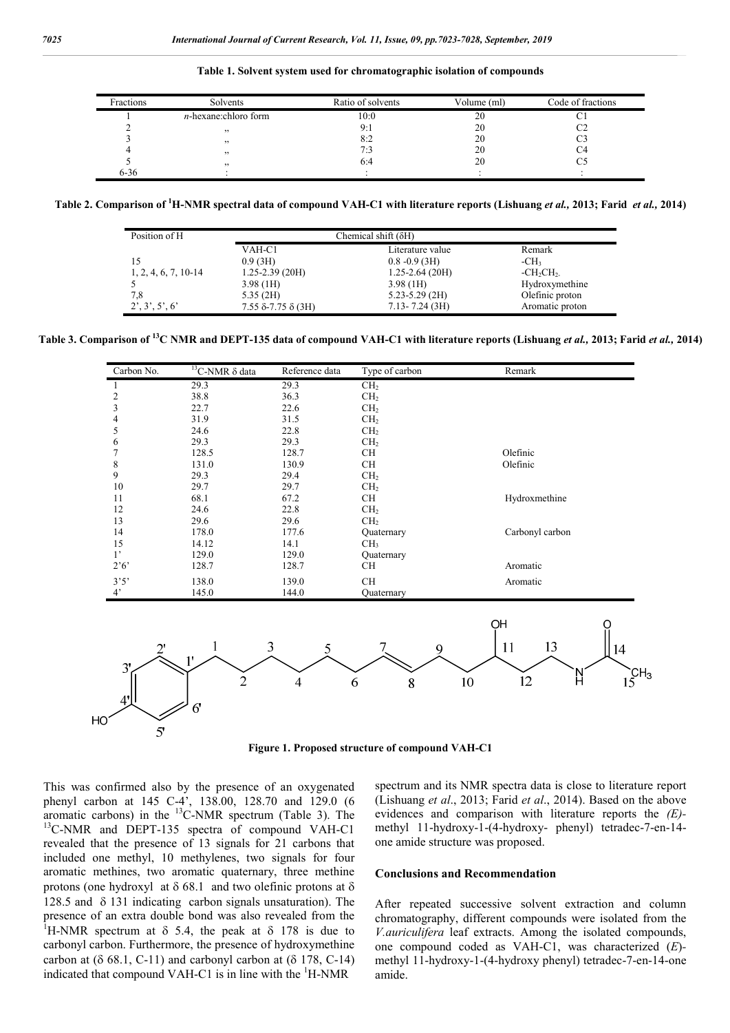**Table 1. Solvent system used for chromatographic isolation of compounds**

| Fractions | Solvents                | Ratio of solvents | Volume (ml) | Code of fractions |
|-----------|-------------------------|-------------------|-------------|-------------------|
|           | $n$ -hexane:chloro form | 10:0              | 20          |                   |
|           | , 2                     | 9:1               | 20          |                   |
|           | , 2                     | 8:2               | 20          |                   |
|           | , 2                     | 7:3               | 20          |                   |
|           | , 2                     | 6:4               | 20          |                   |
| $6 - 36$  |                         |                   |             |                   |

**Table 2. Comparison of 1 H-NMR spectral data of compound VAH-C1 with literature reports (Lishuang** *et al.,* **2013; Farid** *et al.,* **2014)**

| Position of H          |                                     | Chemical shift $(\delta H)$ |                 |  |
|------------------------|-------------------------------------|-----------------------------|-----------------|--|
|                        | VAH-C1                              | Literature value            | Remark          |  |
| 15                     | 0.9(3H)                             | $0.8 - 0.9$ (3H)            | $-CH3$          |  |
| $1, 2, 4, 6, 7, 10-14$ | $1.25 - 2.39$ (20H)                 | $1.25 - 2.64$ (20H)         | $-CH_2CH_2$     |  |
|                        | 3.98(1H)                            | 3.98(1H)                    | Hydroxymethine  |  |
| 7,8                    | 5.35(2H)                            | $5.23 - 5.29$ (2H)          | Olefinic proton |  |
| 2', 3', 5', 6'         | $7.55$ $\delta$ -7.75 $\delta$ (3H) | $7.13 - 7.24$ (3H)          | Aromatic proton |  |

**Table 3. Comparison of 13C NMR and DEPT-135 data of compound VAH-C1 with literature reports (Lishuang** *et al.,* **2013; Farid** *et al.,* **2014)**

| Carbon No.              | $13C-NMR \delta$ data | Reference data | Type of carbon  | Remark                              |
|-------------------------|-----------------------|----------------|-----------------|-------------------------------------|
| 1                       | 29.3                  | 29.3           | CH <sub>2</sub> |                                     |
| $\overline{\mathbf{c}}$ | 38.8                  | 36.3           | CH <sub>2</sub> |                                     |
| 3                       | 22.7                  | 22.6           | CH <sub>2</sub> |                                     |
| $\overline{\mathbf{4}}$ | 31.9                  | 31.5           | CH <sub>2</sub> |                                     |
| 5                       | 24.6                  | 22.8           | CH <sub>2</sub> |                                     |
| 6                       | 29.3                  | 29.3           | CH <sub>2</sub> |                                     |
| $\overline{7}$          | 128.5                 | 128.7          | CH              | Olefinic                            |
| 8                       | 131.0                 | 130.9          | CH              | Olefinic                            |
| 9                       | 29.3                  | 29.4           | CH <sub>2</sub> |                                     |
| 10                      | 29.7                  | 29.7           | CH <sub>2</sub> |                                     |
| 11                      | 68.1                  | 67.2           | CH              | Hydroxmethine                       |
| 12                      | 24.6                  | 22.8           | CH <sub>2</sub> |                                     |
| 13                      | 29.6                  | 29.6           | CH <sub>2</sub> |                                     |
| 14                      | 178.0                 | 177.6          | Quaternary      | Carbonyl carbon                     |
| 15                      | 14.12                 | 14.1           | CH <sub>3</sub> |                                     |
| $1$ '                   | 129.0                 | 129.0          | Quaternary      |                                     |
| $2^{\circ}6^{\circ}$    | 128.7                 | 128.7          | CH              | Aromatic                            |
| 3'5'                    | 138.0                 | 139.0          | <b>CH</b>       | Aromatic                            |
| $4^{\circ}$             | 145.0                 | 144.0          | Quaternary      |                                     |
|                         |                       |                |                 | OH                                  |
| $2^{\circ}$             |                       | 3<br>5         | 9               | 13<br>11<br>14                      |
| 3'                      | 11                    |                |                 |                                     |
|                         | $\overline{2}$        | 4              | 6<br>8          | $\int_{5}^{C} H_3$<br>H<br>12<br>10 |
| $4^{\prime}$            | 6 <sup>1</sup>        |                |                 |                                     |
|                         |                       |                |                 |                                     |
| 5'                      |                       |                |                 |                                     |

**Figure 1. Proposed structure of compound VAH-C1**

This was confirmed also by the presence of an oxygenated phenyl carbon at 145 C-4', 138.00, 128.70 and 129.0 (6 aromatic carbons) in the  $^{13}$ C-NMR spectrum (Table 3). The <sup>13</sup>C-NMR and DEPT-135 spectra of compound VAH-C1 revealed that the presence of 13 signals for 21 carbons that included one methyl, 10 methylenes, two signals for four aromatic methines, two aromatic quaternary, three methine protons (one hydroxyl at  $\delta$  68.1 and two olefinic protons at  $\delta$ 128.5 and  $\delta$  131 indicating carbon signals unsaturation). The presence of an extra double bond was also revealed from the <sup>1</sup>H-NMR spectrum at  $\delta$  5.4, the peak at  $\delta$  178 is due to carbonyl carbon. Furthermore, the presence of hydroxymethine carbon at  $( \delta 68.1, C-11)$  and carbonyl carbon at  $( \delta 178, C-14)$ indicated that compound VAH-C1 is in line with the  ${}^{1}$ H-NMR

spectrum and its NMR spectra data is close to literature report (Lishuang *et al*., 2013; Farid *et al*., 2014). Based on the above evidences and comparison with literature reports the *(E)* methyl 11-hydroxy-1-(4-hydroxy- phenyl) tetradec-7-en-14 one amide structure was proposed.

#### **Conclusions and Recommendation**

After repeated successive solvent extraction and column chromatography, different compounds were isolated from the *V.auriculifera* leaf extracts. Among the isolated compounds, one compound coded as VAH-C1, was characterized (*E*) methyl 11-hydroxy-1-(4-hydroxy phenyl) tetradec-7-en-14-one amide.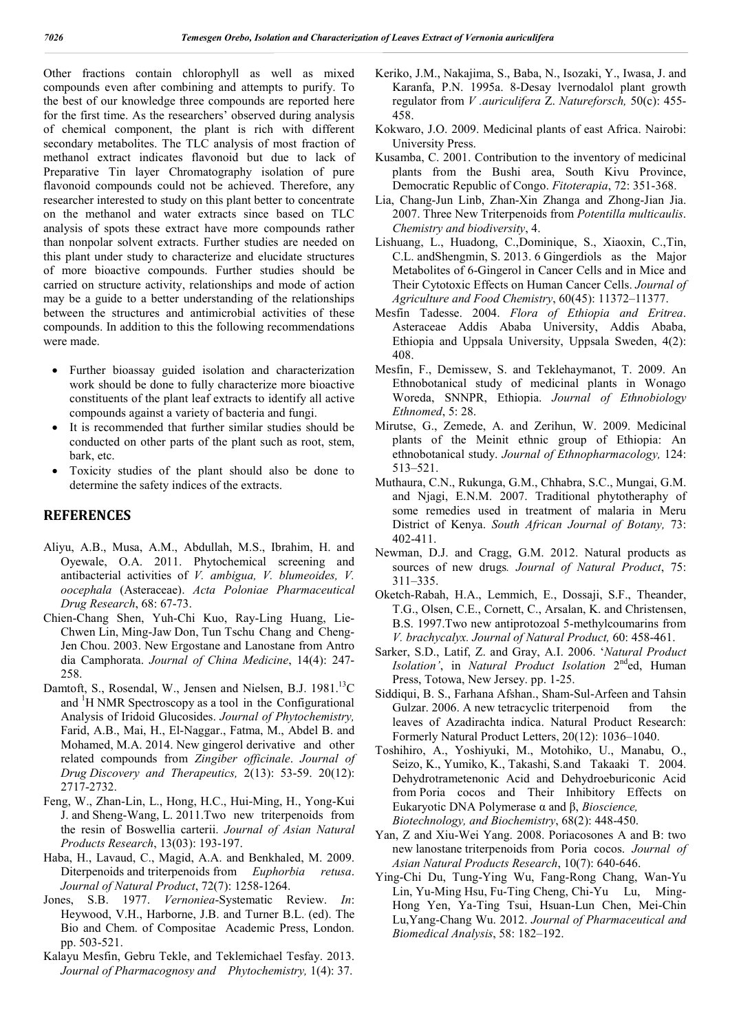Other fractions contain chlorophyll as well as mixed compounds even after combining and attempts to purify. To the best of our knowledge three compounds are reported here for the first time. As the researchers' observed during analysis of chemical component, the plant is rich with different secondary metabolites. The TLC analysis of most fraction of methanol extract indicates flavonoid but due to lack of Preparative Tin layer Chromatography isolation of pure flavonoid compounds could not be achieved. Therefore, any researcher interested to study on this plant better to concentrate on the methanol and water extracts since based on TLC analysis of spots these extract have more compounds rather than nonpolar solvent extracts. Further studies are needed on this plant under study to characterize and elucidate structures of more bioactive compounds. Further studies should be carried on structure activity, relationships and mode of action may be a guide to a better understanding of the relationships between the structures and antimicrobial activities of these compounds. In addition to this the following recommendations were made.

- Further bioassay guided isolation and characterization work should be done to fully characterize more bioactive constituents of the plant leaf extracts to identify all active compounds against a variety of bacteria and fungi.
- It is recommended that further similar studies should be conducted on other parts of the plant such as root, stem, bark, etc.
- Toxicity studies of the plant should also be done to determine the safety indices of the extracts.

### **REFERENCES**

- Aliyu, A.B., Musa, A.M., Abdullah, M.S., Ibrahim, H. and Oyewale, O.A. 2011. Phytochemical screening and antibacterial activities of *V. ambigua, V. blumeoides, V. oocephala* (Asteraceae). *Acta Poloniae Pharmaceutical Drug Research*, 68: 67-73.
- Chien-Chang Shen, Yuh-Chi Kuo, Ray-Ling Huang, Lie-Chwen Lin, Ming-Jaw Don, Tun Tschu Chang and Cheng-Jen Chou. 2003. New Ergostane and Lanostane from Antro dia Camphorata. *Journal of China Medicine*, 14(4): 247- 258.
- Damtoft, S., Rosendal, W., Jensen and Nielsen, B.J. 1981.<sup>13</sup>C and <sup>1</sup>H NMR Spectroscopy as a tool in the Configurational Analysis of Iridoid Glucosides. *Journal of Phytochemistry,* Farid, A.B., Mai, H., El-Naggar., Fatma, M., Abdel B. and Mohamed, M.A. 2014. New gingerol derivative and other related compounds from *Zingiber officinale*. *Journal of Drug Discovery and Therapeutics,* 2(13): 53-59. 20(12): 2717-2732.
- Feng, W., Zhan-Lin, L., Hong, H.C., Hui-Ming, H., Yong-Kui J. and Sheng-Wang, L. 2011.Two new triterpenoids from the resin of Boswellia carterii. *Journal of Asian Natural Products Research*, 13(03): 193-197.
- Haba, H., Lavaud, C., Magid, A.A. and Benkhaled, M. 2009. Diterpenoids and triterpenoids from *Euphorbia retusa*. *Journal of Natural Product*, 72(7): 1258-1264.
- Jones, S.B. 1977. *Vernoniea*-Systematic Review. *In*: Heywood, V.H., Harborne, J.B. and Turner B.L. (ed). The Bio and Chem. of Compositae Academic Press, London. pp. 503-521.
- Kalayu Mesfin, Gebru Tekle, and Teklemichael Tesfay. 2013. *Journal of Pharmacognosy and Phytochemistry,* 1(4): 37.
- Keriko, J.M., Nakajima, S., Baba, N., Isozaki, Y., Iwasa, J. and Karanfa, P.N. 1995a. 8-Desay lvernodalol plant growth regulator from *V .auriculifera* Z. *Natureforsch,* 50(c): 455- 458.
- Kokwaro, J.O. 2009. Medicinal plants of east Africa. Nairobi: University Press.
- Kusamba, C. 2001. Contribution to the inventory of medicinal plants from the Bushi area, South Kivu Province, Democratic Republic of Congo. *Fitoterapia*, 72: 351-368.
- Lia, Chang-Jun Linb, Zhan-Xin Zhanga and Zhong-Jian Jia. 2007. Three New Triterpenoids from *Potentilla multicaulis*. *Chemistry and biodiversity*, 4.
- Lishuang, L., Huadong, C.,Dominique, S., Xiaoxin, C.,Tin, C.L. andShengmin, S. 2013. 6 Gingerdiols as the Major Metabolites of 6-Gingerol in Cancer Cells and in Mice and Their Cytotoxic Effects on Human Cancer Cells. *Journal of Agriculture and Food Chemistry*, 60(45): 11372–11377.
- Mesfin Tadesse. 2004. *Flora of Ethiopia and Eritrea*. Asteraceae Addis Ababa University, Addis Ababa, Ethiopia and Uppsala University, Uppsala Sweden, 4(2): 408.
- Mesfin, F., Demissew, S. and Teklehaymanot, T. 2009. An Ethnobotanical study of medicinal plants in Wonago Woreda, SNNPR, Ethiopia. *Journal of Ethnobiology Ethnomed*, 5: 28.
- Mirutse, G., Zemede, A. and Zerihun, W. 2009. Medicinal plants of the Meinit ethnic group of Ethiopia: An ethnobotanical study. *Journal of Ethnopharmacology,* 124: 513–521.
- Muthaura, C.N., Rukunga, G.M., Chhabra, S.C., Mungai, G.M. and Njagi, E.N.M. 2007. Traditional phytotheraphy of some remedies used in treatment of malaria in Meru District of Kenya. *South African Journal of Botany,* 73: 402-411.
- Newman, D.J. and Cragg, G.M. 2012. Natural products as sources of new drugs*. Journal of Natural Product*, 75: 311–335.
- Oketch-Rabah, H.A., Lemmich, E., Dossaji, S.F., Theander, T.G., Olsen, C.E., Cornett, C., Arsalan, K. and Christensen, B.S. 1997.Two new antiprotozoal 5-methylcoumarins from *V. brachycalyx. Journal of Natural Product,* 60: 458-461.
- Sarker, S.D., Latif, Z. and Gray, A.I. 2006. '*Natural Product Isolation'*, in *Natural Product Isolation* 2nded, Human Press, Totowa, New Jersey. pp. 1-25.
- Siddiqui, B. S., Farhana Afshan., Sham-Sul-Arfeen and Tahsin Gulzar. 2006. A new tetracyclic triterpenoid from the leaves of Azadirachta indica. Natural Product Research: Formerly Natural Product Letters, 20(12): 1036–1040.
- Toshihiro, A., Yoshiyuki, M., Motohiko, U., Manabu, O., Seizo, K., Yumiko, K., Takashi, S.and Takaaki T. 2004. Dehydrotrametenonic Acid and Dehydroeburiconic Acid from Poria cocos and Their Inhibitory Effects on Eukaryotic DNA Polymerase α and β, *Bioscience, Biotechnology, and Biochemistry*, 68(2): 448-450.
- Yan, Z and Xiu-Wei Yang. 2008. Poriacosones A and B: two new lanostane triterpenoids from Poria cocos. *Journal of Asian Natural Products Research*, 10(7): 640-646.
- Ying-Chi Du, Tung-Ying Wu, Fang-Rong Chang, Wan-Yu Lin, Yu-Ming Hsu, Fu-Ting Cheng, Chi-Yu Lu, Ming-Hong Yen, Ya-Ting Tsui, Hsuan-Lun Chen, Mei-Chin Lu,Yang-Chang Wu. 2012. *Journal of Pharmaceutical and Biomedical Analysis*, 58: 182–192.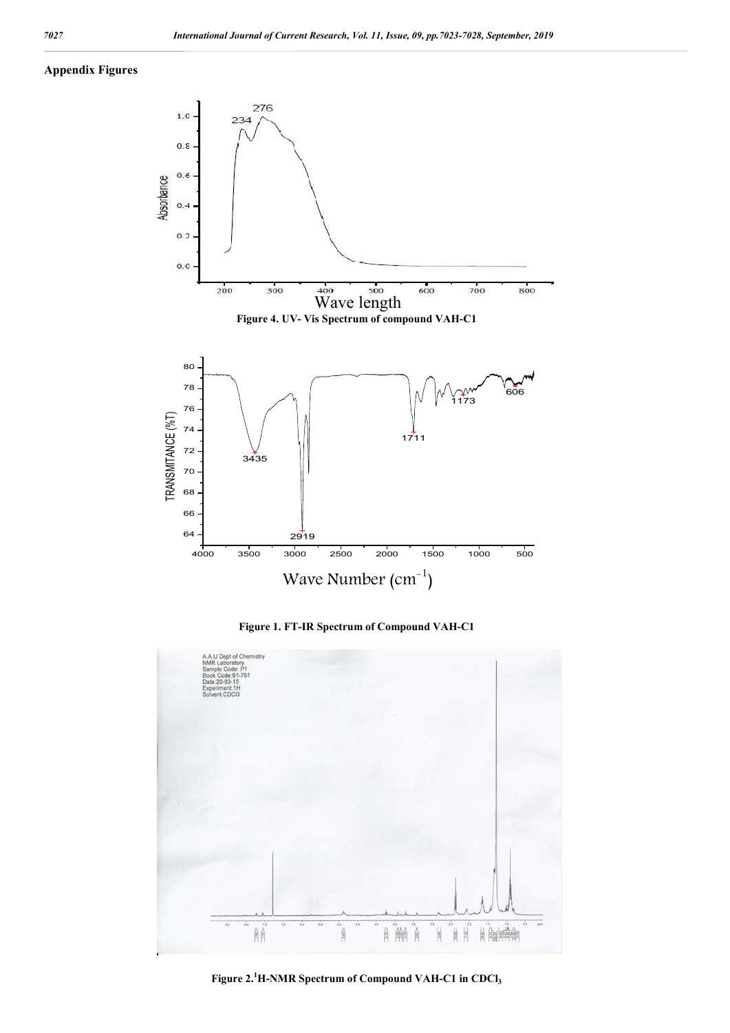### **Appendix Figures**



**Figure 1. FT-IR Spectrum of Compound VAH-C1**



Figure 2.<sup>1</sup>H-NMR Spectrum of Compound VAH-C1 in CDCl<sub>3</sub>